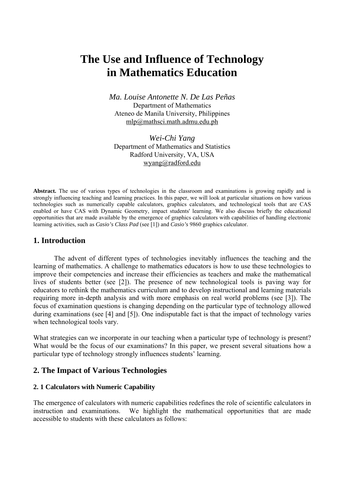# **The Use and Influence of Technology in Mathematics Education**

*Ma. Louise Antonette N. De Las Peñas*  Department of Mathematics Ateneo de Manila University, Philippines mlp@mathsci.math.admu.edu.ph

*Wei-Chi Yang*  Department of Mathematics and Statistics Radford University, VA, USA wyang@radford.edu

**Abstract.** The use of various types of technologies in the classroom and examinations is growing rapidly and is strongly influencing teaching and learning practices. In this paper, we will look at particular situations on how various technologies such as numerically capable calculators, graphics calculators, and technological tools that are CAS enabled or have CAS with Dynamic Geometry, impact students' learning. We also discuss briefly the educational opportunities that are made available by the emergence of graphics calculators with capabilities of handling electronic learning activities, such as *Casio's Class Pad* (see [1]) and *Casio's* 9860 graphics calculator.

## **1. Introduction**

The advent of different types of technologies inevitably influences the teaching and the learning of mathematics. A challenge to mathematics educators is how to use these technologies to improve their competencies and increase their efficiencies as teachers and make the mathematical lives of students better (see [2]). The presence of new technological tools is paving way for educators to rethink the mathematics curriculum and to develop instructional and learning materials requiring more in-depth analysis and with more emphasis on real world problems (see [3]). The focus of examination questions is changing depending on the particular type of technology allowed during examinations (see [4] and [5]). One indisputable fact is that the impact of technology varies when technological tools vary.

What strategies can we incorporate in our teaching when a particular type of technology is present? What would be the focus of our examinations? In this paper, we present several situations how a particular type of technology strongly influences students' learning.

# **2. The Impact of Various Technologies**

## **2. 1 Calculators with Numeric Capability**

The emergence of calculators with numeric capabilities redefines the role of scientific calculators in instruction and examinations. We highlight the mathematical opportunities that are made accessible to students with these calculators as follows: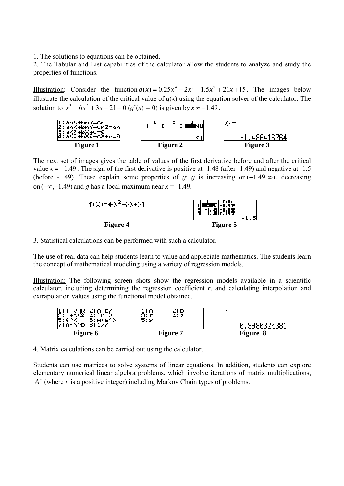1. The solutions to equations can be obtained.

2. The Tabular and List capabilities of the calculator allow the students to analyze and study the properties of functions.

Illustration: Consider the function  $g(x) = 0.25x^4 - 2x^3 + 1.5x^2 + 21x + 15$ . The images below illustrate the calculation of the critical value of  $g(x)$  using the equation solver of the calculator. The solution to  $x^3 - 6x^2 + 3x + 21 = 0$  ( $g'(x) = 0$ ) is given by  $x \approx -1.49$ .



The next set of images gives the table of values of the first derivative before and after the critical value  $x = -1.49$ . The sign of the first derivative is positive at  $-1.48$  (after  $-1.49$ ) and negative at  $-1.5$ (before -1.49). These explain some properties of *g*: *g* is increasing on (−1.49,∞), decreasing on  $(-\infty, -1.49)$  and *g* has a local maximum near  $x = -1.49$ .



3. Statistical calculations can be performed with such a calculator.

The use of real data can help students learn to value and appreciate mathematics. The students learn the concept of mathematical modeling using a variety of regression models.

Illustration: The following screen shots show the regression models available in a scientific calculator, including determining the regression coefficient *r*, and calculating interpolation and extrapolation values using the functional model obtained.



4. Matrix calculations can be carried out using the calculator.

Students can use matrices to solve systems of linear equations. In addition, students can explore elementary numerical linear algebra problems, which involve iterations of matrix multiplications, *<sup>n</sup> A* (where *n* is a positive integer) including Markov Chain types of problems.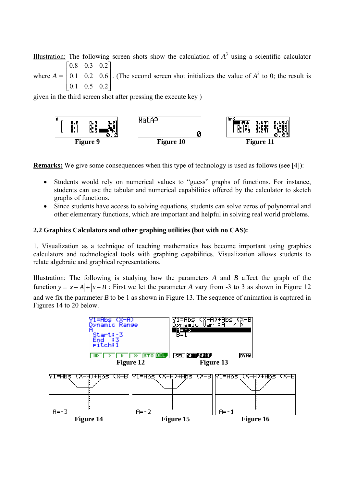Illustration: The following screen shots show the calculation of  $A<sup>3</sup>$  using a scientific calculator where  $A = |$  $\overline{\phantom{a}}$  $\begin{bmatrix} 0.8 & 0.3 & 0.2 \end{bmatrix}$  $\begin{bmatrix} 0.1 & 0.2 & 0.6 \end{bmatrix}$ . (The second screen shot initializes the value of  $A^3$  to 0; the result is

 $\begin{bmatrix} 0.1 & 0.5 & 0.2 \end{bmatrix}$  $\overline{\phantom{a}}$  $\mathsf I$ 

given in the third screen shot after pressing the execute key )



**Remarks:** We give some consequences when this type of technology is used as follows (see [4]):

- Students would rely on numerical values to "guess" graphs of functions. For instance, students can use the tabular and numerical capabilities offered by the calculator to sketch graphs of functions.
- Since students have access to solving equations, students can solve zeros of polynomial and other elementary functions, which are important and helpful in solving real world problems.

## **2.2 Graphics Calculators and other graphing utilities (but with no CAS):**

1. Visualization as a technique of teaching mathematics has become important using graphics calculators and technological tools with graphing capabilities. Visualization allows students to relate algebraic and graphical representations.

Illustration: The following is studying how the parameters *A* and *B* affect the graph of the function  $y = |x - A| + |x - B|$ : First we let the parameter *A* vary from -3 to 3 as shown in Figure 12 and we fix the parameter *B* to be 1 as shown in Figure 13. The sequence of animation is captured in Figures 14 to 20 below.

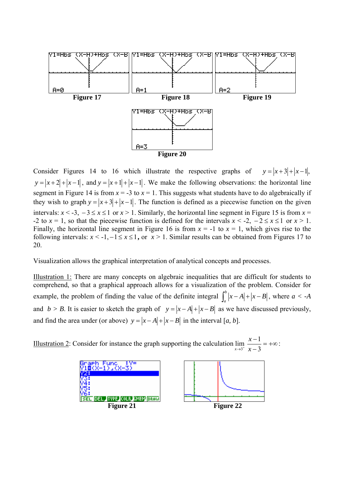

Consider Figures 14 to 16 which illustrate the respective graphs of  $y = |x+3| + |x-1|$ ,  $y = |x + 2| + |x - 1|$ , and  $y = |x + 1| + |x - 1|$ . We make the following observations: the horizontal line segment in Figure 14 is from  $x = -3$  to  $x = 1$ . This suggests what students have to do algebraically if they wish to graph  $y = |x+3| + |x-1|$ . The function is defined as a piecewise function on the given intervals:  $x < -3$ ,  $-3 \le x \le 1$  or  $x > 1$ . Similarly, the horizontal line segment in Figure 15 is from  $x =$ -2 to  $x = 1$ , so that the piecewise function is defined for the intervals  $x < -2$ ,  $-2 \le x \le 1$  or  $x > 1$ . Finally, the horizontal line segment in Figure 16 is from  $x = -1$  to  $x = 1$ , which gives rise to the following intervals:  $x < -1, -1 \le x \le 1$ , or  $x > 1$ . Similar results can be obtained from Figures 17 to 20.

Visualization allows the graphical interpretation of analytical concepts and processes.

Illustration 1: There are many concepts on algebraic inequalities that are difficult for students to comprehend, so that a graphical approach allows for a visualization of the problem. Consider for example, the problem of finding the value of the definite integral  $\int_a^b |x - A| + |x - B|$ , where  $a < -A$ and *b* > *B*. It is easier to sketch the graph of  $y = |x - A| + |x - B|$  as we have discussed previously, and find the area under (or above)  $y = |x - A| + |x - B|$  in the interval [*a, b*].

Illustration 2: Consider for instance the graph supporting the calculation  $\lim_{x\to 3^+} \frac{x-1}{x-3} = +\infty$ 3 1 *x*  $\frac{x-1}{2}$  = + $\infty$  :

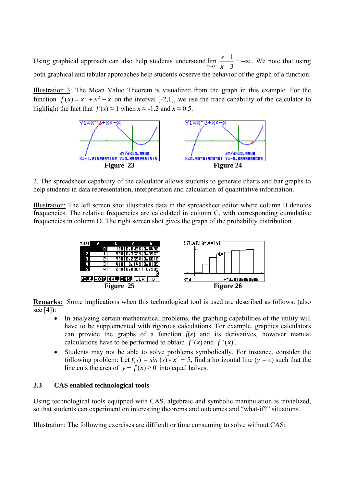Using graphical approach can also help students understand  $\lim_{x \to 3^{-}} \frac{x-1}{x-3} = -\infty$ 3 1 *x*  $\frac{x-1}{2} = -\infty$ . We note that using both graphical and tabular approaches help students observe the behavior of the graph of a function.

Illustration 3: The Mean Value Theorem is visualized from the graph in this example. For the function  $f(x) = x^3 + x^2 - x$  on the interval [-2,1], we use the trace capability of the calculator to highlight the fact that  $f'(x) \approx 1$  when  $x \approx -1.2$  and  $x \approx 0.5$ .



2. The spreadsheet capability of the calculator allows students to generate charts and bar graphs to help students in data representation, interpretation and calculation of quantitative information.

Illustration: The left screen shot illustrates data in the spreadsheet editor where column B denotes frequencies. The relative frequencies are calculated in column C, with corresponding cumulative frequencies in column D. The right screen shot gives the graph of the probability distribution.



**Remarks:** Some implications when this technological tool is used are described as follows: (also see [4]):

- In analyzing certain mathematical problems, the graphing capabilities of the utility will have to be supplemented with rigorous calculations. For example, graphics calculators can provide the graphs of a function  $f(x)$  and its derivatives, however manual calculations have to be performed to obtain  $f'(x)$  and  $f''(x)$ .
- Students may not be able to solve problems symbolically. For instance, consider the following problem: Let  $f(x) = \sin(x) - x^2 + 5$ , find a horizontal line (*y = c*) such that the line cuts the area of  $y = f(x) \ge 0$  into equal halves.

## **2.3 CAS enabled technological tools**

Using technological tools equipped with CAS, algebraic and symbolic manipulation is trivialized, so that students can experiment on interesting theorems and outcomes and "what-if?" situations.

Illustration: The following exercises are difficult or time consuming to solve without CAS: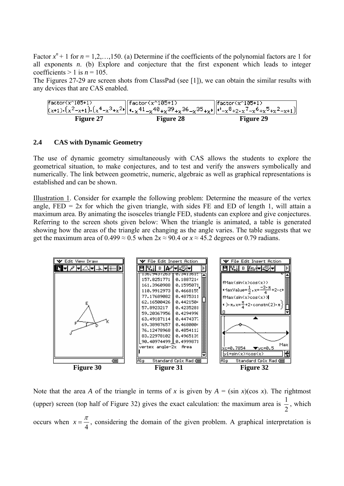Factor  $x^n + 1$  for  $n = 1, 2, \ldots, 150$ . (a) Determine if the coefficients of the polynomial factors are 1 for all exponents  $n$ . (b) Explore and conjecture that the first exponent which leads to integer coefficients  $> 1$  is  $n = 105$ .

The Figures 27-29 are screen shots from ClassPad (see [1]), we can obtain the similar results with any devices that are CAS enabled.

| $\sqrt{\frac{2}{100}}$ | $\Box$ factor(x^105+1)<br>$(x+1)\cdot (x^2-x+1)\cdot (x^4-x^3+x^2)\cdot (x^4-x^4+x^4) - x^40+x^39+x^36-x^35+x^1\cdot (x^3-x^2+x^7-x^6+x^5+x^2-x+1)$ | $\sqrt{\frac{1}{2} \cdot \frac{1}{2} \cdot \frac{1}{2} \cdot \frac{1}{2} \cdot \frac{1}{2} \cdot \frac{1}{2} \cdot \frac{1}{2} \cdot \frac{1}{2} \cdot \frac{1}{2} \cdot \frac{1}{2} \cdot \frac{1}{2} \cdot \frac{1}{2} \cdot \frac{1}{2} \cdot \frac{1}{2} \cdot \frac{1}{2} \cdot \frac{1}{2} \cdot \frac{1}{2} \cdot \frac{1}{2} \cdot \frac{1}{2} \cdot \frac{1}{2} \cdot \frac{1}{2} \cdot \frac{1}{2} \cdot \frac{1}{2} \cdot \frac{1}{2} \cdot \frac$ |
|------------------------|-----------------------------------------------------------------------------------------------------------------------------------------------------|---------------------------------------------------------------------------------------------------------------------------------------------------------------------------------------------------------------------------------------------------------------------------------------------------------------------------------------------------------------------------------------------------------------------------------------------------------------|
| <b>Figure 27</b>       | <b>Figure 28</b>                                                                                                                                    | <b>Figure 29</b>                                                                                                                                                                                                                                                                                                                                                                                                                                              |

#### **2.4 CAS with Dynamic Geometry**

The use of dynamic geometry simultaneously with CAS allows the students to explore the geometrical situation, to make conjectures, and to test and verify the answers symbolically and numerically. The link between geometric, numeric, algebraic as well as graphical representations is established and can be shown.

Illustration 1. Consider for example the following problem: Determine the measure of the vertex angle,  $FED = 2x$  for which the given triangle, with sides  $FE$  and  $ED$  of length 1, will attain a maximum area. By animating the isosceles triangle FED, students can explore and give conjectures. Referring to the screen shots given below: When the triangle is animated, a table is generated showing how the areas of the triangle are changing as the angle varies. The table suggests that we get the maximum area of  $0.499 \approx 0.5$  when  $2x \approx 90.4$  or  $x \approx 45.2$  degrees or 0.79 radians.



Note that the area *A* of the triangle in terms of *x* is given by  $A = (\sin x)(\cos x)$ . The rightmost (upper) screen (top half of Figure 32) gives the exact calculation: the maximum area is 2  $\frac{1}{2}$ , which occurs when 4  $x = \frac{\pi}{4}$ , considering the domain of the given problem. A graphical interpretation is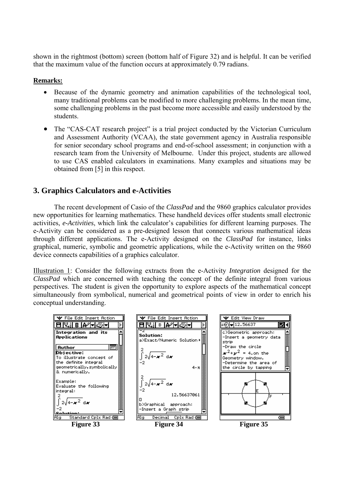shown in the rightmost (bottom) screen (bottom half of Figure 32) and is helpful. It can be verified that the maximum value of the function occurs at approximately 0.79 radians.

## **Remarks:**

- Because of the dynamic geometry and animation capabilities of the technological tool, many traditional problems can be modified to more challenging problems. In the mean time, some challenging problems in the past become more accessible and easily understood by the students.
- The "CAS-CAT research project" is a trial project conducted by the Victorian Curriculum and Assessment Authority (VCAA), the state government agency in Australia responsible for senior secondary school programs and end-of-school assessment; in conjunction with a research team from the University of Melbourne. Under this project, students are allowed to use CAS enabled calculators in examinations. Many examples and situations may be obtained from [5] in this respect.

# **3. Graphics Calculators and e-Activities**

The recent development of Casio of the *ClassPad* and the 9860 graphics calculator provides new opportunities for learning mathematics. These handheld devices offer students small electronic activities, *e-Activities*, which link the calculator's capabilities for different learning purposes. The e-Activity can be considered as a pre-designed lesson that connects various mathematical ideas through different applications. The e-Activity designed on the *ClassPad* for instance, links graphical, numeric, symbolic and geometric applications, while the e-Activity written on the 9860 device connects capabilities of a graphics calculator.

Illustration 1: Consider the following extracts from the e-Activity *Integration* designed for the *ClassPad* which are concerned with teaching the concept of the definite integral from various perspectives. The student is given the opportunity to explore aspects of the mathematical concept simultaneously from symbolical, numerical and geometrical points of view in order to enrich his conceptual understanding.

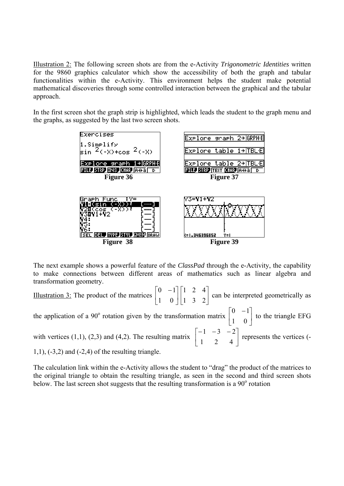Illustration 2: The following screen shots are from the e-Activity *Trigonometric Identities* written for the 9860 graphics calculator which show the accessibility of both the graph and tabular functionalities within the e-Activity. This environment helps the student make potential mathematical discoveries through some controlled interaction between the graphical and the tabular approach.

In the first screen shot the graph strip is highlighted, which leads the student to the graph menu and the graphs, as suggested by the last two screen shots.



The next example shows a powerful feature of the *ClassPad* through the e-Activity, the capability to make connections between different areas of mathematics such as linear algebra and transformation geometry.

Illustration 3: The product of the matrices  $\begin{bmatrix} 0 & 1 \\ 1 & 0 \end{bmatrix}$ ⎦  $\begin{vmatrix} 0 & -1 \\ 1 & 0 \end{vmatrix}$ ⎣  $\begin{bmatrix} 0 & - \end{bmatrix}$ 1 0  $0 \t -1$  $\overline{\phantom{a}}$ ⎦  $\begin{vmatrix} 1 & 2 & 4 \\ 1 & 2 & 2 \end{vmatrix}$ ⎣  $\mathsf{L}$ 1 3 2 1 2 4 can be interpreted geometrically as the application of a 90° rotation given by the transformation matrix  $\begin{bmatrix} 0 & -1 \\ 1 & 0 \end{bmatrix}$ ⎦  $\begin{vmatrix} 0 & -1 \\ 1 & 0 \end{vmatrix}$ ⎣  $\begin{bmatrix} 0 & - \end{bmatrix}$ 1 0  $0 \t -1$  to the triangle EFG with vertices (1,1), (2,3) and (4,2). The resulting matrix  $\begin{bmatrix} 1 & 2 & 1 \end{bmatrix}$ ⎦  $\begin{vmatrix} -1 & -3 & -2 \\ 1 & 2 & 4 \end{vmatrix}$ ⎣  $\begin{bmatrix} -1 & -3 & - \end{bmatrix}$ 1 2 4  $1 -3 -2$  represents the vertices (-  $1,1$ ),  $(-3,2)$  and  $(-2,4)$  of the resulting triangle.

The calculation link within the e-Activity allows the student to "drag" the product of the matrices to the original triangle to obtain the resulting triangle, as seen in the second and third screen shots below. The last screen shot suggests that the resulting transformation is a 90° rotation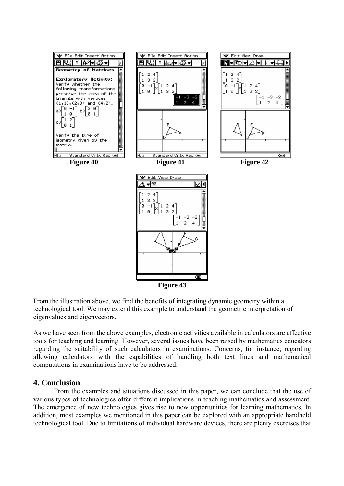

From the illustration above, we find the benefits of integrating dynamic geometry within a technological tool. We may extend this example to understand the geometric interpretation of eigenvalues and eigenvectors.

As we have seen from the above examples, electronic activities available in calculators are effective tools for teaching and learning. However, several issues have been raised by mathematics educators regarding the suitability of such calculators in examinations. Concerns, for instance, regarding allowing calculators with the capabilities of handling both text lines and mathematical computations in examinations have to be addressed.

## **4. Conclusion**

From the examples and situations discussed in this paper, we can conclude that the use of various types of technologies offer different implications in teaching mathematics and assessment. The emergence of new technologies gives rise to new opportunities for learning mathematics. In addition, most examples we mentioned in this paper can be explored with an appropriate handheld technological tool. Due to limitations of individual hardware devices, there are plenty exercises that